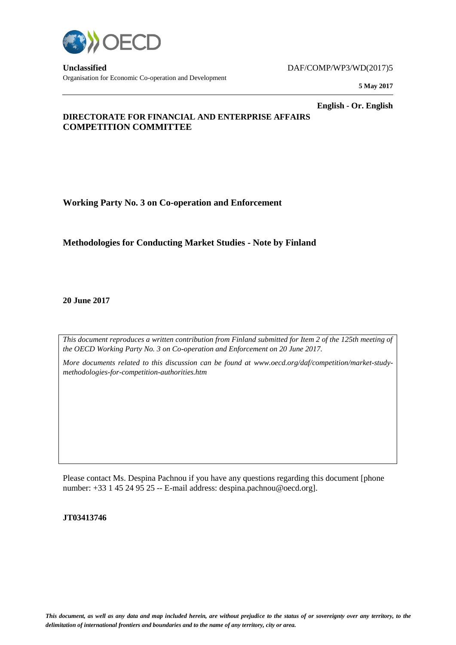

**Unclassified** DAF/COMP/WP3/WD(2017)5 Organisation for Economic Co-operation and Development

**5 May 2017**

**English - Or. English**

# **DIRECTORATE FOR FINANCIAL AND ENTERPRISE AFFAIRS COMPETITION COMMITTEE**

**Working Party No. 3 on Co-operation and Enforcement**

# **Methodologies for Conducting Market Studies - Note by Finland**

**20 June 2017**

*This document reproduces a written contribution from Finland submitted for Item 2 of the 125th meeting of the OECD Working Party No. 3 on Co-operation and Enforcement on 20 June 2017.* 

*More documents related to this discussion can be found at www.oecd.org/daf/competition/market-studymethodologies-for-competition-authorities.htm*

Please contact Ms. Despina Pachnou if you have any questions regarding this document [phone number: +33 1 45 24 95 25 -- E-mail address: despina.pachnou@oecd.org].

**JT03413746**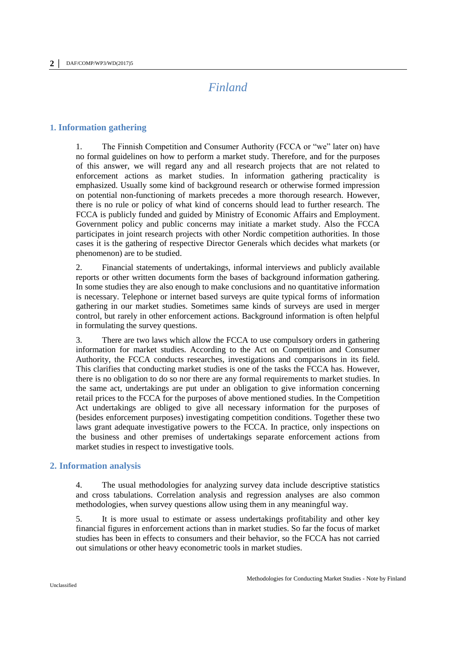# *Finland*

# **1. Information gathering**

1. The Finnish Competition and Consumer Authority (FCCA or "we" later on) have no formal guidelines on how to perform a market study. Therefore, and for the purposes of this answer, we will regard any and all research projects that are not related to enforcement actions as market studies. In information gathering practicality is emphasized. Usually some kind of background research or otherwise formed impression on potential non-functioning of markets precedes a more thorough research. However, there is no rule or policy of what kind of concerns should lead to further research. The FCCA is publicly funded and guided by Ministry of Economic Affairs and Employment. Government policy and public concerns may initiate a market study. Also the FCCA participates in joint research projects with other Nordic competition authorities. In those cases it is the gathering of respective Director Generals which decides what markets (or phenomenon) are to be studied.

2. Financial statements of undertakings, informal interviews and publicly available reports or other written documents form the bases of background information gathering. In some studies they are also enough to make conclusions and no quantitative information is necessary. Telephone or internet based surveys are quite typical forms of information gathering in our market studies. Sometimes same kinds of surveys are used in merger control, but rarely in other enforcement actions. Background information is often helpful in formulating the survey questions.

3. There are two laws which allow the FCCA to use compulsory orders in gathering information for market studies. According to the Act on Competition and Consumer Authority, the FCCA conducts researches, investigations and comparisons in its field. This clarifies that conducting market studies is one of the tasks the FCCA has. However, there is no obligation to do so nor there are any formal requirements to market studies. In the same act, undertakings are put under an obligation to give information concerning retail prices to the FCCA for the purposes of above mentioned studies. In the Competition Act undertakings are obliged to give all necessary information for the purposes of (besides enforcement purposes) investigating competition conditions. Together these two laws grant adequate investigative powers to the FCCA. In practice, only inspections on the business and other premises of undertakings separate enforcement actions from market studies in respect to investigative tools.

## **2. Information analysis**

4. The usual methodologies for analyzing survey data include descriptive statistics and cross tabulations. Correlation analysis and regression analyses are also common methodologies, when survey questions allow using them in any meaningful way.

5. It is more usual to estimate or assess undertakings profitability and other key financial figures in enforcement actions than in market studies. So far the focus of market studies has been in effects to consumers and their behavior, so the FCCA has not carried out simulations or other heavy econometric tools in market studies.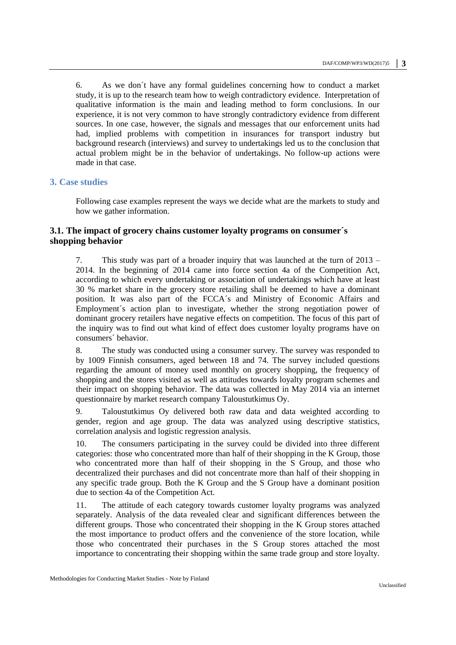6. As we don´t have any formal guidelines concerning how to conduct a market study, it is up to the research team how to weigh contradictory evidence. Interpretation of qualitative information is the main and leading method to form conclusions. In our experience, it is not very common to have strongly contradictory evidence from different sources. In one case, however, the signals and messages that our enforcement units had had, implied problems with competition in insurances for transport industry but background research (interviews) and survey to undertakings led us to the conclusion that actual problem might be in the behavior of undertakings. No follow-up actions were made in that case.

## **3. Case studies**

Following case examples represent the ways we decide what are the markets to study and how we gather information.

# **3.1. The impact of grocery chains customer loyalty programs on consumer´s shopping behavior**

7. This study was part of a broader inquiry that was launched at the turn of 2013 – 2014. In the beginning of 2014 came into force section 4a of the Competition Act, according to which every undertaking or association of undertakings which have at least 30 % market share in the grocery store retailing shall be deemed to have a dominant position. It was also part of the FCCA´s and Ministry of Economic Affairs and Employment´s action plan to investigate, whether the strong negotiation power of dominant grocery retailers have negative effects on competition. The focus of this part of the inquiry was to find out what kind of effect does customer loyalty programs have on consumers´ behavior.

8. The study was conducted using a consumer survey. The survey was responded to by 1009 Finnish consumers, aged between 18 and 74. The survey included questions regarding the amount of money used monthly on grocery shopping, the frequency of shopping and the stores visited as well as attitudes towards loyalty program schemes and their impact on shopping behavior. The data was collected in May 2014 via an internet questionnaire by market research company Taloustutkimus Oy.

9. Taloustutkimus Oy delivered both raw data and data weighted according to gender, region and age group. The data was analyzed using descriptive statistics, correlation analysis and logistic regression analysis.

10. The consumers participating in the survey could be divided into three different categories: those who concentrated more than half of their shopping in the K Group, those who concentrated more than half of their shopping in the S Group, and those who decentralized their purchases and did not concentrate more than half of their shopping in any specific trade group. Both the K Group and the S Group have a dominant position due to section 4a of the Competition Act.

11. The attitude of each category towards customer loyalty programs was analyzed separately. Analysis of the data revealed clear and significant differences between the different groups. Those who concentrated their shopping in the K Group stores attached the most importance to product offers and the convenience of the store location, while those who concentrated their purchases in the S Group stores attached the most importance to concentrating their shopping within the same trade group and store loyalty.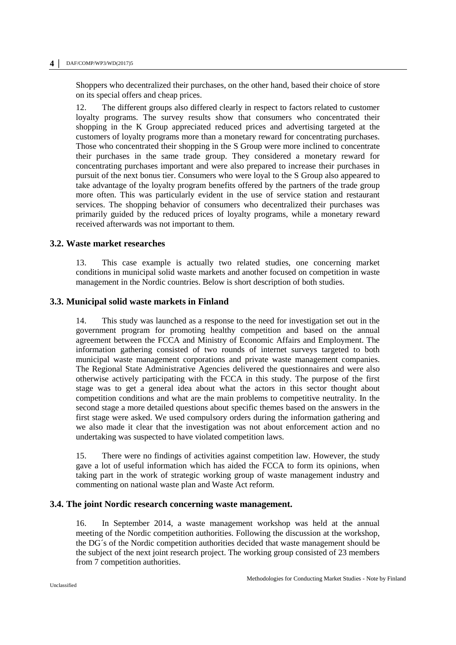#### **4 │** DAF/COMP/WP3/WD(2017)5

Shoppers who decentralized their purchases, on the other hand, based their choice of store on its special offers and cheap prices.

12. The different groups also differed clearly in respect to factors related to customer loyalty programs. The survey results show that consumers who concentrated their shopping in the K Group appreciated reduced prices and advertising targeted at the customers of loyalty programs more than a monetary reward for concentrating purchases. Those who concentrated their shopping in the S Group were more inclined to concentrate their purchases in the same trade group. They considered a monetary reward for concentrating purchases important and were also prepared to increase their purchases in pursuit of the next bonus tier. Consumers who were loyal to the S Group also appeared to take advantage of the loyalty program benefits offered by the partners of the trade group more often. This was particularly evident in the use of service station and restaurant services. The shopping behavior of consumers who decentralized their purchases was primarily guided by the reduced prices of loyalty programs, while a monetary reward received afterwards was not important to them.

## **3.2. Waste market researches**

13. This case example is actually two related studies, one concerning market conditions in municipal solid waste markets and another focused on competition in waste management in the Nordic countries. Below is short description of both studies.

## **3.3. Municipal solid waste markets in Finland**

14. This study was launched as a response to the need for investigation set out in the government program for promoting healthy competition and based on the annual agreement between the FCCA and Ministry of Economic Affairs and Employment. The information gathering consisted of two rounds of internet surveys targeted to both municipal waste management corporations and private waste management companies. The Regional State Administrative Agencies delivered the questionnaires and were also otherwise actively participating with the FCCA in this study. The purpose of the first stage was to get a general idea about what the actors in this sector thought about competition conditions and what are the main problems to competitive neutrality. In the second stage a more detailed questions about specific themes based on the answers in the first stage were asked. We used compulsory orders during the information gathering and we also made it clear that the investigation was not about enforcement action and no undertaking was suspected to have violated competition laws.

15. There were no findings of activities against competition law. However, the study gave a lot of useful information which has aided the FCCA to form its opinions, when taking part in the work of strategic working group of waste management industry and commenting on national waste plan and Waste Act reform.

## **3.4. The joint Nordic research concerning waste management.**

16. In September 2014, a waste management workshop was held at the annual meeting of the Nordic competition authorities. Following the discussion at the workshop, the DG´s of the Nordic competition authorities decided that waste management should be the subject of the next joint research project. The working group consisted of 23 members from 7 competition authorities.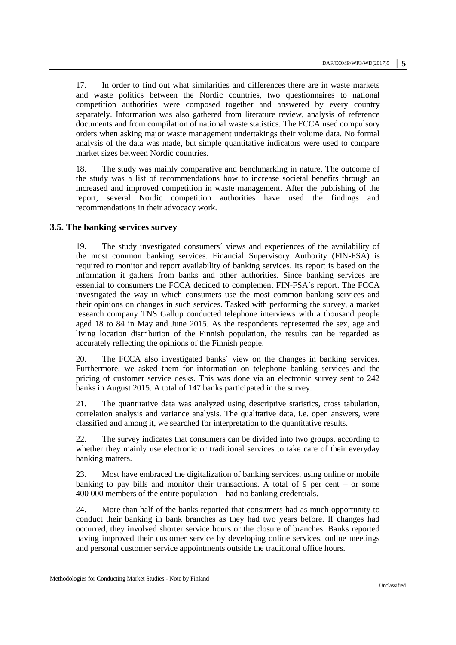17. In order to find out what similarities and differences there are in waste markets and waste politics between the Nordic countries, two questionnaires to national competition authorities were composed together and answered by every country separately. Information was also gathered from literature review, analysis of reference documents and from compilation of national waste statistics. The FCCA used compulsory orders when asking major waste management undertakings their volume data. No formal analysis of the data was made, but simple quantitative indicators were used to compare market sizes between Nordic countries.

18. The study was mainly comparative and benchmarking in nature. The outcome of the study was a list of recommendations how to increase societal benefits through an increased and improved competition in waste management. After the publishing of the report, several Nordic competition authorities have used the findings and recommendations in their advocacy work.

## **3.5. The banking services survey**

19. The study investigated consumers´ views and experiences of the availability of the most common banking services. Financial Supervisory Authority (FIN-FSA) is required to monitor and report availability of banking services. Its report is based on the information it gathers from banks and other authorities. Since banking services are essential to consumers the FCCA decided to complement FIN-FSA´s report. The FCCA investigated the way in which consumers use the most common banking services and their opinions on changes in such services. Tasked with performing the survey, a market research company TNS Gallup conducted telephone interviews with a thousand people aged 18 to 84 in May and June 2015. As the respondents represented the sex, age and living location distribution of the Finnish population, the results can be regarded as accurately reflecting the opinions of the Finnish people.

20. The FCCA also investigated banks´ view on the changes in banking services. Furthermore, we asked them for information on telephone banking services and the pricing of customer service desks. This was done via an electronic survey sent to 242 banks in August 2015. A total of 147 banks participated in the survey.

21. The quantitative data was analyzed using descriptive statistics, cross tabulation, correlation analysis and variance analysis. The qualitative data, i.e. open answers, were classified and among it, we searched for interpretation to the quantitative results.

22. The survey indicates that consumers can be divided into two groups, according to whether they mainly use electronic or traditional services to take care of their everyday banking matters.

23. Most have embraced the digitalization of banking services, using online or mobile banking to pay bills and monitor their transactions. A total of 9 per cent – or some 400 000 members of the entire population – had no banking credentials.

24. More than half of the banks reported that consumers had as much opportunity to conduct their banking in bank branches as they had two years before. If changes had occurred, they involved shorter service hours or the closure of branches. Banks reported having improved their customer service by developing online services, online meetings and personal customer service appointments outside the traditional office hours.